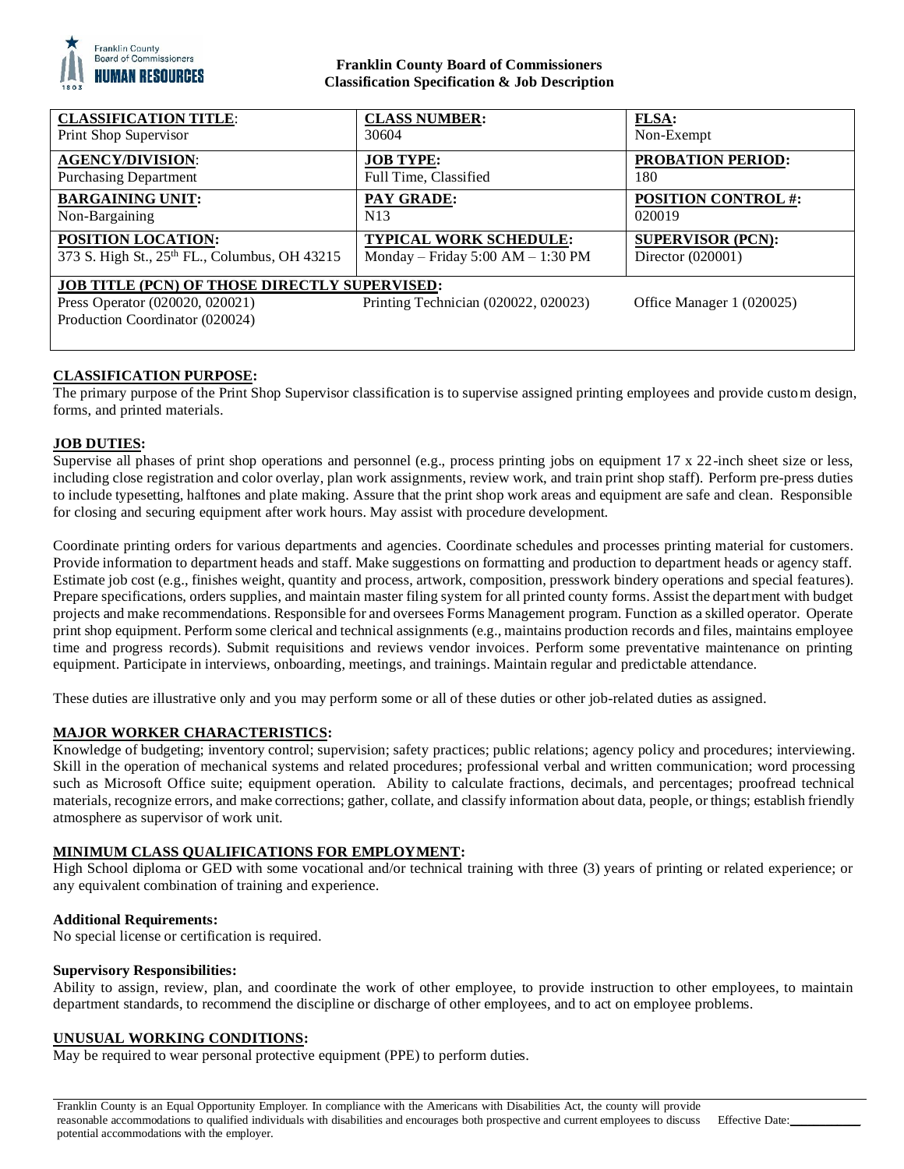

### **Franklin County Board of Commissioners Classification Specification & Job Description**

| <b>CLASSIFICATION TITLE:</b>                                       | <b>CLASS NUMBER:</b>                  | <b>FLSA:</b>               |
|--------------------------------------------------------------------|---------------------------------------|----------------------------|
| Print Shop Supervisor                                              | 30604                                 | Non-Exempt                 |
| <b>AGENCY/DIVISION:</b>                                            | <b>JOB TYPE:</b>                      | <b>PROBATION PERIOD:</b>   |
| <b>Purchasing Department</b>                                       | Full Time, Classified                 | 180                        |
| <b>BARGAINING UNIT:</b>                                            | PAY GRADE:                            | <b>POSITION CONTROL #:</b> |
| Non-Bargaining                                                     | N <sub>13</sub>                       | 020019                     |
| POSITION LOCATION:                                                 | <b>TYPICAL WORK SCHEDULE:</b>         | <b>SUPERVISOR (PCN):</b>   |
| 373 S. High St., 25th FL., Columbus, OH 43215                      | Monday – Friday $5:00$ AM – $1:30$ PM | Director (020001)          |
| JOB TITLE (PCN) OF THOSE DIRECTLY SUPERVISED:                      |                                       |                            |
| Press Operator (020020, 020021)<br>Production Coordinator (020024) | Printing Technician (020022, 020023)  | Office Manager 1 (020025)  |

# **CLASSIFICATION PURPOSE:**

The primary purpose of the Print Shop Supervisor classification is to supervise assigned printing employees and provide custom design, forms, and printed materials.

# **JOB DUTIES:**

Supervise all phases of print shop operations and personnel (e.g., process printing jobs on equipment 17 x 22-inch sheet size or less, including close registration and color overlay, plan work assignments, review work, and train print shop staff). Perform pre-press duties to include typesetting, halftones and plate making. Assure that the print shop work areas and equipment are safe and clean. Responsible for closing and securing equipment after work hours. May assist with procedure development.

Coordinate printing orders for various departments and agencies. Coordinate schedules and processes printing material for customers. Provide information to department heads and staff. Make suggestions on formatting and production to department heads or agency staff. Estimate job cost (e.g., finishes weight, quantity and process, artwork, composition, presswork bindery operations and special features). Prepare specifications, orders supplies, and maintain master filing system for all printed county forms. Assist the department with budget projects and make recommendations. Responsible for and oversees Forms Management program. Function as a skilled operator. Operate print shop equipment. Perform some clerical and technical assignments (e.g., maintains production records and files, maintains employee time and progress records). Submit requisitions and reviews vendor invoices. Perform some preventative maintenance on printing equipment. Participate in interviews, onboarding, meetings, and trainings. Maintain regular and predictable attendance.

These duties are illustrative only and you may perform some or all of these duties or other job-related duties as assigned.

# **MAJOR WORKER CHARACTERISTICS:**

Knowledge of budgeting; inventory control; supervision; safety practices; public relations; agency policy and procedures; interviewing. Skill in the operation of mechanical systems and related procedures; professional verbal and written communication; word processing such as Microsoft Office suite; equipment operation. Ability to calculate fractions, decimals, and percentages; proofread technical materials, recognize errors, and make corrections; gather, collate, and classify information about data, people, or things; establish friendly atmosphere as supervisor of work unit.

### **MINIMUM CLASS QUALIFICATIONS FOR EMPLOYMENT:**

High School diploma or GED with some vocational and/or technical training with three (3) years of printing or related experience; or any equivalent combination of training and experience.

### **Additional Requirements:**

No special license or certification is required.

### **Supervisory Responsibilities:**

Ability to assign, review, plan, and coordinate the work of other employee, to provide instruction to other employees, to maintain department standards, to recommend the discipline or discharge of other employees, and to act on employee problems.

### **UNUSUAL WORKING CONDITIONS:**

May be required to wear personal protective equipment (PPE) to perform duties.

Franklin County is an Equal Opportunity Employer. In compliance with the Americans with Disabilities Act, the county will provide reasonable accommodations to qualified individuals with disabilities and encourages both prospective and current employees to discuss potential accommodations with the employer.